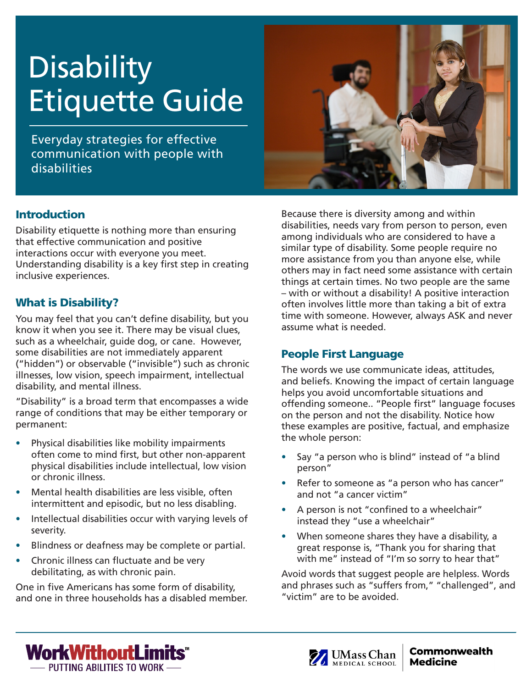# **Disability** Etiquette Guide

Everyday strategies for effective communication with people with disabilities

#### **Introduction**

Disability etiquette is nothing more than ensuring that effective communication and positive interactions occur with everyone you meet. Understanding disability is a key first step in creating inclusive experiences.

# What is Disability?

You may feel that you can't define disability, but you know it when you see it. There may be visual clues, such as a wheelchair, guide dog, or cane. However, some disabilities are not immediately apparent ("hidden") or observable ("invisible") such as chronic illnesses, low vision, speech impairment, intellectual disability, and mental illness.

"Disability" is a broad term that encompasses a wide range of conditions that may be either temporary or permanent:

- Physical disabilities like mobility impairments often come to mind first, but other non-apparent physical disabilities include intellectual, low vision or chronic illness.
- Mental health disabilities are less visible, often intermittent and episodic, but no less disabling.
- Intellectual disabilities occur with varying levels of severity.
- Blindness or deafness may be complete or partial.
- Chronic illness can fluctuate and be very debilitating, as with chronic pain.

One in five Americans has some form of disability, and one in three households has a disabled member.



Because there is diversity among and within disabilities, needs vary from person to person, even among individuals who are considered to have a similar type of disability. Some people require no more assistance from you than anyone else, while others may in fact need some assistance with certain things at certain times. No two people are the same – with or without a disability! A positive interaction often involves little more than taking a bit of extra time with someone. However, always ASK and never assume what is needed.

# People First Language

The words we use communicate ideas, attitudes, and beliefs. Knowing the impact of certain language helps you avoid uncomfortable situations and offending someone.. "People first" language focuses on the person and not the disability. Notice how these examples are positive, factual, and emphasize the whole person:

- Say "a person who is blind" instead of "a blind" person"
- Refer to someone as "a person who has cancer" and not "a cancer victim"
- A person is not "confined to a wheelchair" instead they "use a wheelchair"
- When someone shares they have a disability, a great response is, "Thank you for sharing that with me" instead of "I'm so sorry to hear that"

Avoid words that suggest people are helpless. Words and phrases such as "suffers from," "challenged", and "victim" are to be avoided.



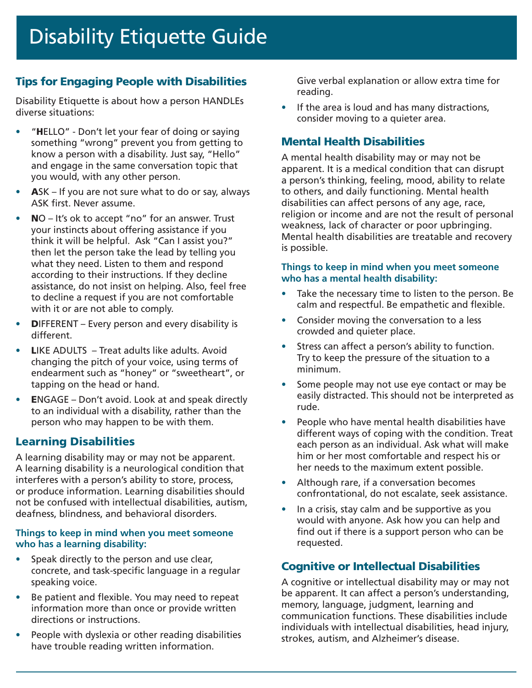# Tips for Engaging People with Disabilities

Disability Etiquette is about how a person HANDLEs diverse situations:

- "HELLO" Don't let your fear of doing or saying something "wrong" prevent you from getting to know a person with a disability. Just say, "Hello" and engage in the same conversation topic that you would, with any other person.
- ASK If you are not sure what to do or say, always ASK first. Never assume.
- NO It's ok to accept "no" for an answer. Trust your instincts about offering assistance if you think it will be helpful. Ask "Can I assist you?" then let the person take the lead by telling you what they need. Listen to them and respond according to their instructions. If they decline assistance, do not insist on helping. Also, feel free to decline a request if you are not comfortable with it or are not able to comply.
- **DIFFERENT** Every person and every disability is different.
- LIKE ADULTS Treat adults like adults. Avoid changing the pitch of your voice, using terms of endearment such as "honey" or "sweetheart", or tapping on the head or hand.
- ENGAGE Don't avoid. Look at and speak directly to an individual with a disability, rather than the person who may happen to be with them.

# Learning Disabilities

A learning disability may or may not be apparent. A learning disability is a neurological condition that interferes with a person's ability to store, process, or produce information. Learning disabilities should not be confused with intellectual disabilities, autism, deafness, blindness, and behavioral disorders.

#### **Things to keep in mind when you meet someone who has a learning disability:**

- Speak directly to the person and use clear, concrete, and task-specific language in a regular speaking voice.
- Be patient and flexible. You may need to repeat information more than once or provide written directions or instructions.
- People with dyslexia or other reading disabilities have trouble reading written information.

Give verbal explanation or allow extra time for reading.

• If the area is loud and has many distractions, consider moving to a quieter area.

# Mental Health Disabilities

A mental health disability may or may not be apparent. It is a medical condition that can disrupt a person's thinking, feeling, mood, ability to relate to others, and daily functioning. Mental health disabilities can affect persons of any age, race, religion or income and are not the result of personal weakness, lack of character or poor upbringing. Mental health disabilities are treatable and recovery is possible.

#### **Things to keep in mind when you meet someone who has a mental health disability:**

- Take the necessary time to listen to the person. Be calm and respectful. Be empathetic and flexible.
- Consider moving the conversation to a less crowded and quieter place.
- Stress can affect a person's ability to function. Try to keep the pressure of the situation to a minimum.
- Some people may not use eye contact or may be easily distracted. This should not be interpreted as rude.
- People who have mental health disabilities have different ways of coping with the condition. Treat each person as an individual. Ask what will make him or her most comfortable and respect his or her needs to the maximum extent possible.
- Although rare, if a conversation becomes confrontational, do not escalate, seek assistance.
- In a crisis, stay calm and be supportive as you would with anyone. Ask how you can help and find out if there is a support person who can be requested.

# Cognitive or Intellectual Disabilities

A cognitive or intellectual disability may or may not be apparent. It can affect a person's understanding, memory, language, judgment, learning and communication functions. These disabilities include individuals with intellectual disabilities, head injury, strokes, autism, and Alzheimer's disease.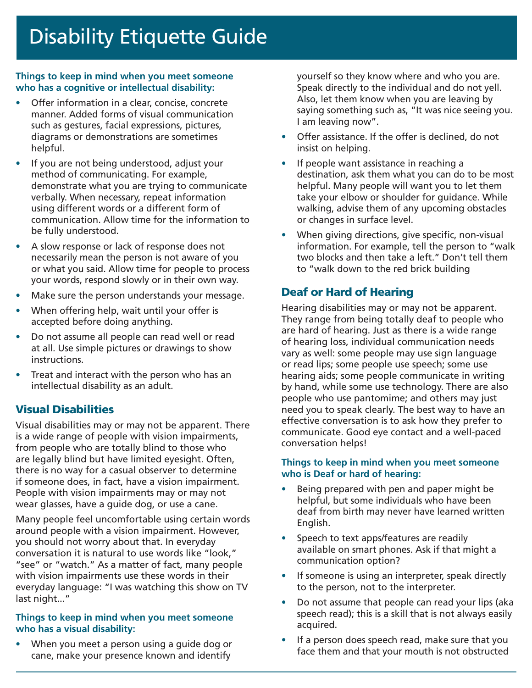#### **Things to keep in mind when you meet someone who has a cognitive or intellectual disability:**

- Offer information in a clear, concise, concrete manner. Added forms of visual communication such as gestures, facial expressions, pictures, diagrams or demonstrations are sometimes helpful.
- If you are not being understood, adjust your method of communicating. For example, demonstrate what you are trying to communicate verbally. When necessary, repeat information using different words or a different form of communication. Allow time for the information to be fully understood.
- A slow response or lack of response does not necessarily mean the person is not aware of you or what you said. Allow time for people to process your words, respond slowly or in their own way.
- Make sure the person understands your message.
- When offering help, wait until your offer is accepted before doing anything.
- Do not assume all people can read well or read at all. Use simple pictures or drawings to show instructions.
- Treat and interact with the person who has an intellectual disability as an adult.

#### Visual Disabilities

Visual disabilities may or may not be apparent. There is a wide range of people with vision impairments, from people who are totally blind to those who are legally blind but have limited eyesight. Often, there is no way for a casual observer to determine if someone does, in fact, have a vision impairment. People with vision impairments may or may not wear glasses, have a guide dog, or use a cane.

Many people feel uncomfortable using certain words around people with a vision impairment. However, you should not worry about that. In everyday conversation it is natural to use words like "look," "see" or "watch." As a matter of fact, many people with vision impairments use these words in their everyday language: "I was watching this show on TV last night..."

#### **Things to keep in mind when you meet someone who has a visual disability:**

• When you meet a person using a guide dog or cane, make your presence known and identify

yourself so they know where and who you are. Speak directly to the individual and do not yell. Also, let them know when you are leaving by saying something such as, "It was nice seeing you. I am leaving now".

- Offer assistance. If the offer is declined, do not insist on helping.
- If people want assistance in reaching a destination, ask them what you can do to be most helpful. Many people will want you to let them take your elbow or shoulder for guidance. While walking, advise them of any upcoming obstacles or changes in surface level.
- When giving directions, give specific, non-visual information. For example, tell the person to "walk two blocks and then take a left." Don't tell them to "walk down to the red brick building

#### Deaf or Hard of Hearing

Hearing disabilities may or may not be apparent. They range from being totally deaf to people who are hard of hearing. Just as there is a wide range of hearing loss, individual communication needs vary as well: some people may use sign language or read lips; some people use speech; some use hearing aids; some people communicate in writing by hand, while some use technology. There are also people who use pantomime; and others may just need you to speak clearly. The best way to have an effective conversation is to ask how they prefer to communicate. Good eye contact and a well-paced conversation helps!

#### **Things to keep in mind when you meet someone who is Deaf or hard of hearing:**

- Being prepared with pen and paper might be helpful, but some individuals who have been deaf from birth may never have learned written English.
- Speech to text apps/features are readily available on smart phones. Ask if that might a communication option?
- If someone is using an interpreter, speak directly to the person, not to the interpreter.
- Do not assume that people can read your lips (aka speech read); this is a skill that is not always easily acquired.
- If a person does speech read, make sure that you face them and that your mouth is not obstructed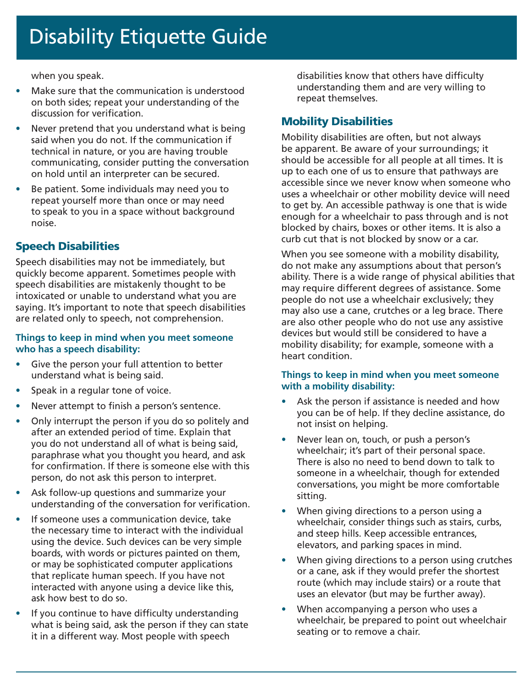# Disability Etiquette Guide

when you speak.

- Make sure that the communication is understood on both sides; repeat your understanding of the discussion for verification.
- Never pretend that you understand what is being said when you do not. If the communication if technical in nature, or you are having trouble communicating, consider putting the conversation on hold until an interpreter can be secured.
- Be patient. Some individuals may need you to repeat yourself more than once or may need to speak to you in a space without background noise.

# Speech Disabilities

Speech disabilities may not be immediately, but quickly become apparent. Sometimes people with speech disabilities are mistakenly thought to be intoxicated or unable to understand what you are saying. It's important to note that speech disabilities are related only to speech, not comprehension.

#### **Things to keep in mind when you meet someone who has a speech disability:**

- Give the person your full attention to better understand what is being said.
- Speak in a regular tone of voice.
- Never attempt to finish a person's sentence.
- Only interrupt the person if you do so politely and after an extended period of time. Explain that you do not understand all of what is being said, paraphrase what you thought you heard, and ask for confirmation. If there is someone else with this person, do not ask this person to interpret.
- Ask follow-up questions and summarize your understanding of the conversation for verification.
- If someone uses a communication device, take the necessary time to interact with the individual using the device. Such devices can be very simple boards, with words or pictures painted on them, or may be sophisticated computer applications that replicate human speech. If you have not interacted with anyone using a device like this, ask how best to do so.
- If you continue to have difficulty understanding what is being said, ask the person if they can state it in a different way. Most people with speech

disabilities know that others have difficulty understanding them and are very willing to repeat themselves.

# Mobility Disabilities

Mobility disabilities are often, but not always be apparent. Be aware of your surroundings; it should be accessible for all people at all times. It is up to each one of us to ensure that pathways are accessible since we never know when someone who uses a wheelchair or other mobility device will need to get by. An accessible pathway is one that is wide enough for a wheelchair to pass through and is not blocked by chairs, boxes or other items. It is also a curb cut that is not blocked by snow or a car.

When you see someone with a mobility disability, do not make any assumptions about that person's ability. There is a wide range of physical abilities that may require different degrees of assistance. Some people do not use a wheelchair exclusively; they may also use a cane, crutches or a leg brace. There are also other people who do not use any assistive devices but would still be considered to have a mobility disability; for example, someone with a heart condition.

#### **Things to keep in mind when you meet someone with a mobility disability:**

- Ask the person if assistance is needed and how you can be of help. If they decline assistance, do not insist on helping.
- Never lean on, touch, or push a person's wheelchair; it's part of their personal space. There is also no need to bend down to talk to someone in a wheelchair, though for extended conversations, you might be more comfortable sitting.
- When giving directions to a person using a wheelchair, consider things such as stairs, curbs, and steep hills. Keep accessible entrances, elevators, and parking spaces in mind.
- When giving directions to a person using crutches or a cane, ask if they would prefer the shortest route (which may include stairs) or a route that uses an elevator (but may be further away).
- When accompanying a person who uses a wheelchair, be prepared to point out wheelchair seating or to remove a chair.